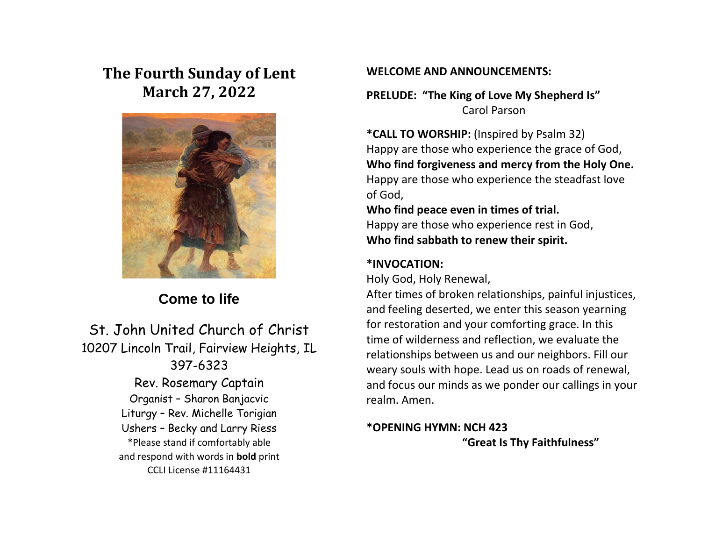# **The Fourth Sunday of Lent March 27, 2022**



# **Come to life**

# St. John United Church of Christ 10207 Lincoln Trail, Fairview Heights, IL 397-6323

Rev. Rosemary Captain Organist – Sharon Banjacvic Liturgy – Rev. Michelle Torigian Ushers – Becky and Larry Riess \*Please stand if comfortably able and respond with words in **bold** print CCLI License #11164431

#### **WELCOME AND ANNOUNCEMENTS:**

**PRELUDE: "The King of Love My Shepherd Is"** Carol Parson

**\*CALL TO WORSHIP:** (Inspired by Psalm 32) Happy are those who experience the grace of God, **Who find forgiveness and mercy from the Holy One.** Happy are those who experience the steadfast love of God,

# **Who find peace even in times of trial.**

Happy are those who experience rest in God, **Who find sabbath to renew their spirit.**

# **\*INVOCATION:**

Holy God, Holy Renewal,

After times of broken relationships, painful injustices, and feeling deserted, we enter this season yearning for restoration and your comforting grace. In this time of wilderness and reflection, we evaluate the relationships between us and our neighbors. Fill our weary souls with hope. Lead us on roads of renewal, and focus our minds as we ponder our callings in your realm. Amen.

# **\*OPENING HYMN: NCH 423 "Great Is Thy Faithfulness"**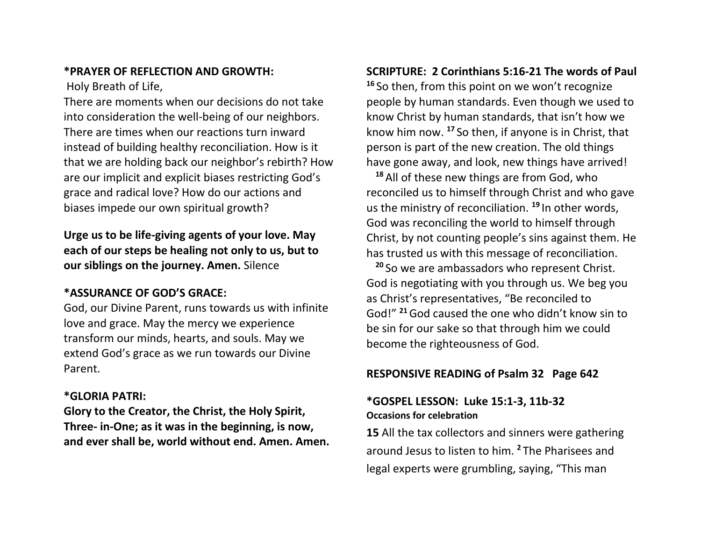# **\*PRAYER OF REFLECTION AND GROWTH:**

Holy Breath of Life,

There are moments when our decisions do not take into consideration the well-being of our neighbors. There are times when our reactions turn inward instead of building healthy reconciliation. How is it that we are holding back our neighbor's rebirth? How are our implicit and explicit biases restricting God's grace and radical love? How do our actions and biases impede our own spiritual growth?

**Urge us to be life-giving agents of your love. May each of our steps be healing not only to us, but to our siblings on the journey. Amen.** Silence

## **\*ASSURANCE OF GOD'S GRACE:**

God, our Divine Parent, runs towards us with infinite love and grace. May the mercy we experience transform our minds, hearts, and souls. May we extend God's grace as we run towards our Divine Parent.

# **\*GLORIA PATRI:**

**Glory to the Creator, the Christ, the Holy Spirit, Three- in-One; as it was in the beginning, is now, and ever shall be, world without end. Amen. Amen.**

## **SCRIPTURE: 2 Corinthians 5:16-21 The words of Paul**

**<sup>16</sup>** So then, from this point on we won't recognize people by human standards. Even though we used to know Christ by human standards, that isn't how we know him now. **<sup>17</sup>** So then, if anyone is in Christ, that person is part of the new creation. The old things have gone away, and look, new things have arrived!

**<sup>18</sup>** All of these new things are from God, who reconciled us to himself through Christ and who gave us the ministry of reconciliation. **<sup>19</sup>** In other words, God was reconciling the world to himself through Christ, by not counting people's sins against them. He has trusted us with this message of reconciliation.

**<sup>20</sup>** So we are ambassadors who represent Christ. God is negotiating with you through us. We beg you as Christ's representatives, "Be reconciled to God!" **<sup>21</sup>**God caused the one who didn't know sin to be sin for our sake so that through him we could become the righteousness of God.

# **RESPONSIVE READING of Psalm 32 Page 642**

### **\*GOSPEL LESSON: Luke 15:1-3, 11b-32 Occasions for celebration**

**15** All the tax collectors and sinners were gathering around Jesus to listen to him. **<sup>2</sup>** The Pharisees and legal experts were grumbling, saying, "This man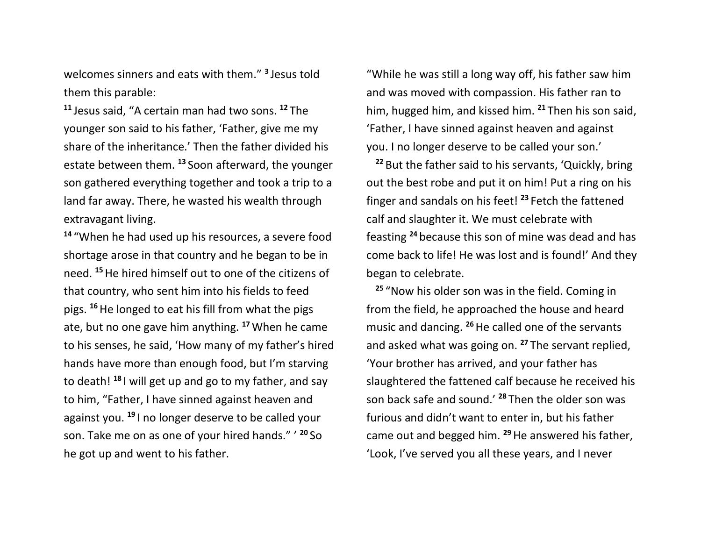welcomes sinners and eats with them." **<sup>3</sup>** Jesus told them this parable:

**<sup>11</sup>** Jesus said, "A certain man had two sons. **<sup>12</sup>** The younger son said to his father, 'Father, give me my share of the inheritance.' Then the father divided his estate between them. **<sup>13</sup>** Soon afterward, the younger son gathered everything together and took a trip to a land far away. There, he wasted his wealth through extravagant living.

**<sup>14</sup>** "When he had used up his resources, a severe food shortage arose in that country and he began to be in need. **<sup>15</sup>**He hired himself out to one of the citizens of that country, who sent him into his fields to feed pigs. **<sup>16</sup>**He longed to eat his fill from what the pigs ate, but no one gave him anything. **<sup>17</sup>**When he came to his senses, he said, 'How many of my father's hired hands have more than enough food, but I'm starving to death! **<sup>18</sup>** I will get up and go to my father, and say to him, "Father, I have sinned against heaven and against you. **<sup>19</sup>** I no longer deserve to be called your son. Take me on as one of your hired hands." ' **<sup>20</sup>** So he got up and went to his father.

"While he was still a long way off, his father saw him and was moved with compassion. His father ran to him, hugged him, and kissed him. **<sup>21</sup>** Then his son said, 'Father, I have sinned against heaven and against you. I no longer deserve to be called your son.'

**<sup>22</sup>** But the father said to his servants, 'Quickly, bring out the best robe and put it on him! Put a ring on his finger and sandals on his feet! **<sup>23</sup>** Fetch the fattened calf and slaughter it. We must celebrate with feasting **<sup>24</sup>** because this son of mine was dead and has come back to life! He was lost and is found!' And they began to celebrate.

**<sup>25</sup>** "Now his older son was in the field. Coming in from the field, he approached the house and heard music and dancing. **<sup>26</sup>**He called one of the servants and asked what was going on. **<sup>27</sup>** The servant replied, 'Your brother has arrived, and your father has slaughtered the fattened calf because he received his son back safe and sound.' **<sup>28</sup>** Then the older son was furious and didn't want to enter in, but his father came out and begged him. **<sup>29</sup>**He answered his father, 'Look, I've served you all these years, and I never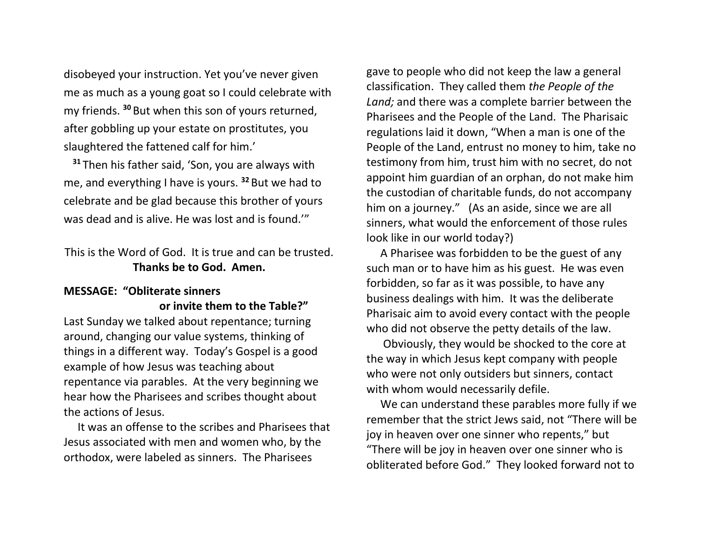disobeyed your instruction. Yet you've never given me as much as a young goat so I could celebrate with my friends. **<sup>30</sup>** But when this son of yours returned, after gobbling up your estate on prostitutes, you slaughtered the fattened calf for him.'

**<sup>31</sup>** Then his father said, 'Son, you are always with me, and everything I have is yours. **<sup>32</sup>** But we had to celebrate and be glad because this brother of yours was dead and is alive. He was lost and is found.'"

This is the Word of God. It is true and can be trusted. **Thanks be to God. Amen.**

## **MESSAGE: "Obliterate sinners or invite them to the Table?"**

Last Sunday we talked about repentance; turning around, changing our value systems, thinking of things in a different way. Today's Gospel is a good example of how Jesus was teaching about repentance via parables. At the very beginning we hear how the Pharisees and scribes thought about the actions of Jesus.

 It was an offense to the scribes and Pharisees that Jesus associated with men and women who, by the orthodox, were labeled as sinners. The Pharisees

gave to people who did not keep the law a general classification. They called them *the People of the Land;* and there was a complete barrier between the Pharisees and the People of the Land. The Pharisaic regulations laid it down, "When a man is one of the People of the Land, entrust no money to him, take no testimony from him, trust him with no secret, do not appoint him guardian of an orphan, do not make him the custodian of charitable funds, do not accompany him on a journey." (As an aside, since we are all sinners, what would the enforcement of those rules look like in our world today?)

 A Pharisee was forbidden to be the guest of any such man or to have him as his guest. He was even forbidden, so far as it was possible, to have any business dealings with him. It was the deliberate Pharisaic aim to avoid every contact with the people who did not observe the petty details of the law.

 Obviously, they would be shocked to the core at the way in which Jesus kept company with people who were not only outsiders but sinners, contact with whom would necessarily defile.

 We can understand these parables more fully if we remember that the strict Jews said, not "There will be joy in heaven over one sinner who repents," but "There will be joy in heaven over one sinner who is obliterated before God." They looked forward not to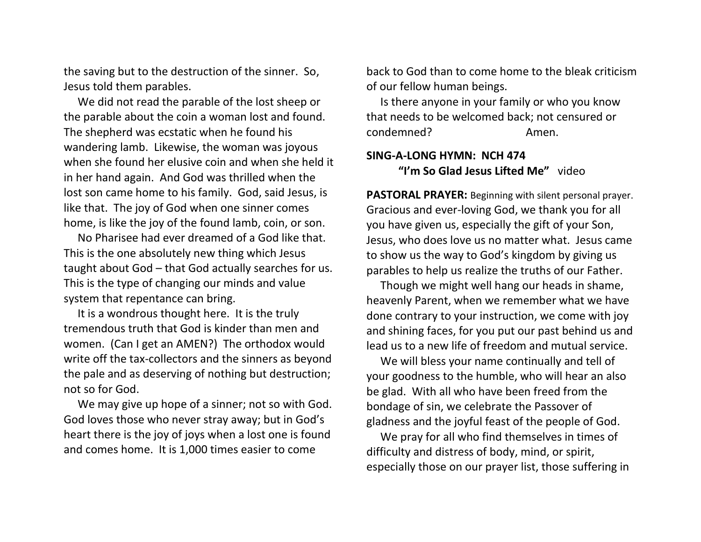the saving but to the destruction of the sinner. So, Jesus told them parables.

 We did not read the parable of the lost sheep or the parable about the coin a woman lost and found. The shepherd was ecstatic when he found his wandering lamb. Likewise, the woman was joyous when she found her elusive coin and when she held it in her hand again. And God was thrilled when the lost son came home to his family. God, said Jesus, is like that. The joy of God when one sinner comes home, is like the joy of the found lamb, coin, or son.

 No Pharisee had ever dreamed of a God like that. This is the one absolutely new thing which Jesus taught about God – that God actually searches for us. This is the type of changing our minds and value system that repentance can bring.

 It is a wondrous thought here. It is the truly tremendous truth that God is kinder than men and women. (Can I get an AMEN?) The orthodox would write off the tax-collectors and the sinners as beyond the pale and as deserving of nothing but destruction; not so for God.

 We may give up hope of a sinner; not so with God. God loves those who never stray away; but in God's heart there is the joy of joys when a lost one is found and comes home. It is 1,000 times easier to come

back to God than to come home to the bleak criticism of our fellow human beings.

 Is there anyone in your family or who you know that needs to be welcomed back; not censured or condemned? Amen.

# **SING-A-LONG HYMN: NCH 474 "I'm So Glad Jesus Lifted Me"** video

**PASTORAL PRAYER:** Beginning with silent personal prayer. Gracious and ever-loving God, we thank you for all you have given us, especially the gift of your Son, Jesus, who does love us no matter what. Jesus came to show us the way to God's kingdom by giving us parables to help us realize the truths of our Father.

 Though we might well hang our heads in shame, heavenly Parent, when we remember what we have done contrary to your instruction, we come with joy and shining faces, for you put our past behind us and lead us to a new life of freedom and mutual service.

 We will bless your name continually and tell of your goodness to the humble, who will hear an also be glad. With all who have been freed from the bondage of sin, we celebrate the Passover of gladness and the joyful feast of the people of God.

 We pray for all who find themselves in times of difficulty and distress of body, mind, or spirit, especially those on our prayer list, those suffering in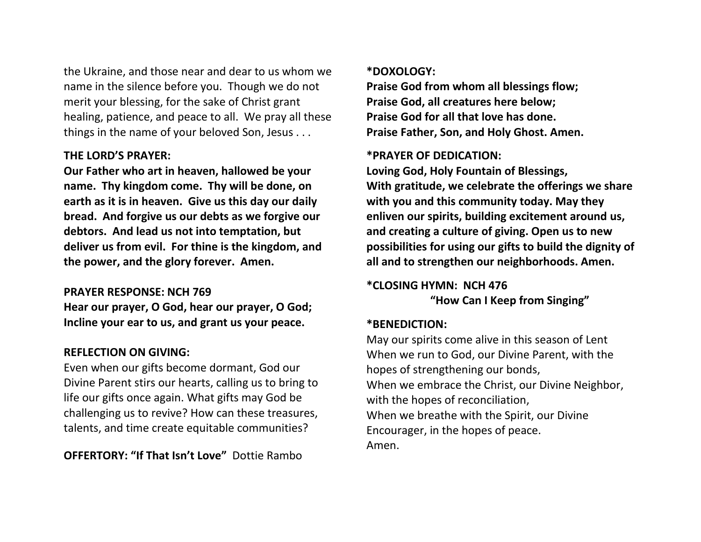the Ukraine, and those near and dear to us whom we name in the silence before you. Though we do not merit your blessing, for the sake of Christ grant healing, patience, and peace to all. We pray all these things in the name of your beloved Son, Jesus . . .

#### **THE LORD'S PRAYER:**

**Our Father who art in heaven, hallowed be your name. Thy kingdom come. Thy will be done, on earth as it is in heaven. Give us this day our daily bread. And forgive us our debts as we forgive our debtors. And lead us not into temptation, but deliver us from evil. For thine is the kingdom, and the power, and the glory forever. Amen.**

#### **PRAYER RESPONSE: NCH 769**

**Hear our prayer, O God, hear our prayer, O God; Incline your ear to us, and grant us your peace.**

#### **REFLECTION ON GIVING:**

Even when our gifts become dormant, God our Divine Parent stirs our hearts, calling us to bring to life our gifts once again. What gifts may God be challenging us to revive? How can these treasures, talents, and time create equitable communities?

**OFFERTORY: "If That Isn't Love"** Dottie Rambo

#### **\*DOXOLOGY:**

**Praise God from whom all blessings flow; Praise God, all creatures here below; Praise God for all that love has done. Praise Father, Son, and Holy Ghost. Amen.**

#### **\*PRAYER OF DEDICATION:**

**Loving God, Holy Fountain of Blessings, With gratitude, we celebrate the offerings we share with you and this community today. May they enliven our spirits, building excitement around us, and creating a culture of giving. Open us to new possibilities for using our gifts to build the dignity of all and to strengthen our neighborhoods. Amen.**

# **\*CLOSING HYMN: NCH 476 "How Can I Keep from Singing"**

#### **\*BENEDICTION:**

May our spirits come alive in this season of Lent When we run to God, our Divine Parent, with the hopes of strengthening our bonds, When we embrace the Christ, our Divine Neighbor, with the hopes of reconciliation, When we breathe with the Spirit, our Divine Encourager, in the hopes of peace. Amen.